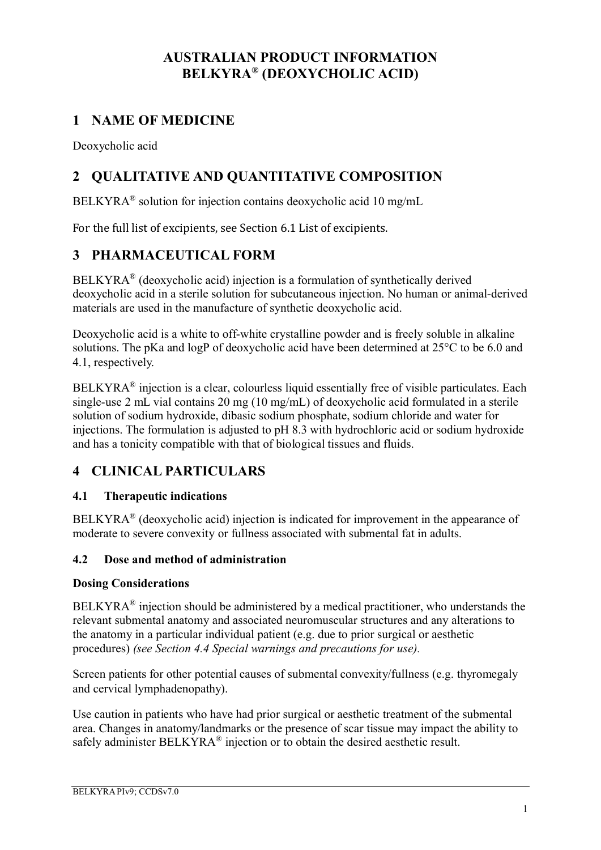# **AUSTRALIAN PRODUCT INFORMATION BELKYRA® (DEOXYCHOLIC ACID)**

# **1 NAME OF MEDICINE**

Deoxycholic acid

# **2 QUALITATIVE AND QUANTITATIVE COMPOSITION**

BELKYRA® solution for injection contains deoxycholic acid 10 mg/mL

For the full list of excipients, see Section 6.1 List of excipients.

# **3 PHARMACEUTICAL FORM**

BELKYRA® (deoxycholic acid) injection is a formulation of synthetically derived deoxycholic acid in a sterile solution for subcutaneous injection. No human or animal-derived materials are used in the manufacture of synthetic deoxycholic acid.

Deoxycholic acid is a white to off-white crystalline powder and is freely soluble in alkaline solutions. The pKa and logP of deoxycholic acid have been determined at 25°C to be 6.0 and 4.1, respectively.

BELKYRA<sup>®</sup> injection is a clear, colourless liquid essentially free of visible particulates. Each single-use 2 mL vial contains 20 mg (10 mg/mL) of deoxycholic acid formulated in a sterile solution of sodium hydroxide, dibasic sodium phosphate, sodium chloride and water for injections. The formulation is adjusted to pH 8.3 with hydrochloric acid or sodium hydroxide and has a tonicity compatible with that of biological tissues and fluids.

# **4 CLINICAL PARTICULARS**

### **4.1 Therapeutic indications**

 $BELKYRA<sup>®</sup>$  (deoxycholic acid) injection is indicated for improvement in the appearance of moderate to severe convexity or fullness associated with submental fat in adults.

### **4.2 Dose and method of administration**

### **Dosing Considerations**

 $BELKYRA<sup>®</sup>$  injection should be administered by a medical practitioner, who understands the relevant submental anatomy and associated neuromuscular structures and any alterations to the anatomy in a particular individual patient (e.g. due to prior surgical or aesthetic procedures) *(see Section 4.4 Special warnings and precautions for use).*

Screen patients for other potential causes of submental convexity/fullness (e.g. thyromegaly and cervical lymphadenopathy).

Use caution in patients who have had prior surgical or aesthetic treatment of the submental area. Changes in anatomy/landmarks or the presence of scar tissue may impact the ability to safely administer BELKYRA® injection or to obtain the desired aesthetic result.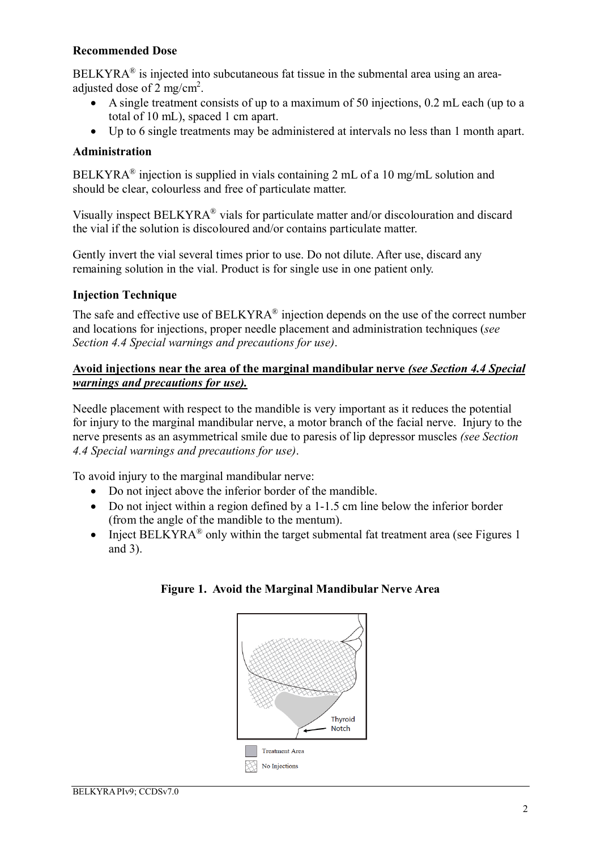### **Recommended Dose**

 $BELKYRA<sup>®</sup>$  is injected into subcutaneous fat tissue in the submental area using an areaadjusted dose of 2 mg/cm<sup>2</sup>.

- A single treatment consists of up to a maximum of 50 injections, 0.2 mL each (up to a total of 10 mL), spaced 1 cm apart.
- Up to 6 single treatments may be administered at intervals no less than 1 month apart.

### **Administration**

BELKYRA® injection is supplied in vials containing 2 mL of a 10 mg/mL solution and should be clear, colourless and free of particulate matter.

Visually inspect BELKYRA® vials for particulate matter and/or discolouration and discard the vial if the solution is discoloured and/or contains particulate matter.

Gently invert the vial several times prior to use. Do not dilute. After use, discard any remaining solution in the vial. Product is for single use in one patient only.

### **Injection Technique**

The safe and effective use of  $BELKYRA^{\circledast}$  injection depends on the use of the correct number and locations for injections, proper needle placement and administration techniques (*see Section 4.4 Special warnings and precautions for use)*.

### **Avoid injections near the area of the marginal mandibular nerve** *(see Section 4.4 Special warnings and precautions for use).*

Needle placement with respect to the mandible is very important as it reduces the potential for injury to the marginal mandibular nerve, a motor branch of the facial nerve. Injury to the nerve presents as an asymmetrical smile due to paresis of lip depressor muscles *(see Section 4.4 Special warnings and precautions for use)*.

To avoid injury to the marginal mandibular nerve:

- Do not inject above the inferior border of the mandible.
- Do not inject within a region defined by a 1-1.5 cm line below the inferior border (from the angle of the mandible to the mentum).
- Inject BELKYRA® only within the target submental fat treatment area (see Figures 1 and 3).



### **Figure 1. Avoid the Marginal Mandibular Nerve Area**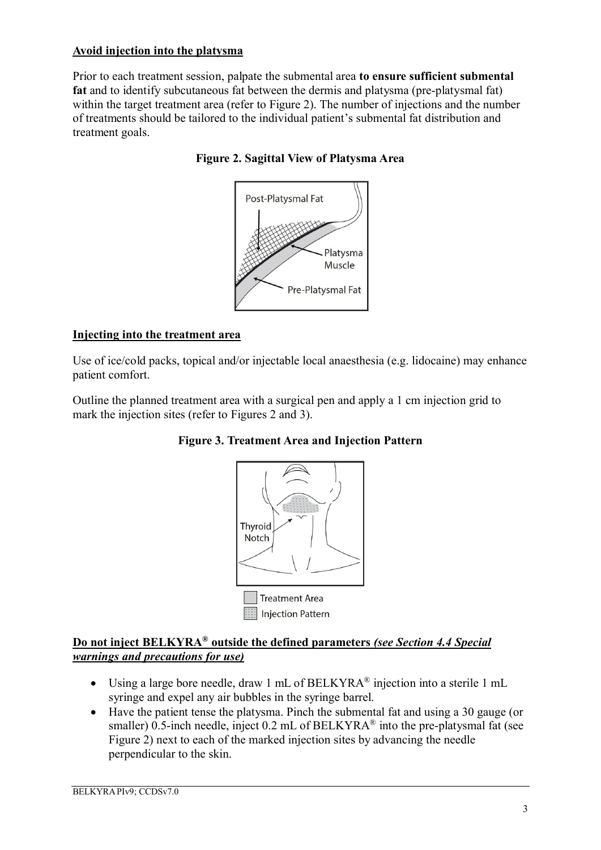### **Avoid injection into the platysma**

Prior to each treatment session, palpate the submental area **to ensure sufficient submental fat** and to identify subcutaneous fat between the dermis and platysma (pre-platysmal fat) within the target treatment area (refer to Figure 2). The number of injections and the number of treatments should be tailored to the individual patient's submental fat distribution and treatment goals.





### **Injecting into the treatment area**

Use of ice/cold packs, topical and/or injectable local anaesthesia (e.g. lidocaine) may enhance patient comfort.

Outline the planned treatment area with a surgical pen and apply a 1 cm injection grid to mark the injection sites (refer to Figures 2 and 3).





### **Do not inject BELKYRA® outside the defined parameters** *(see Section 4.4 Special warnings and precautions for use)*

- Using a large bore needle, draw 1 mL of BELKYRA® injection into a sterile 1 mL syringe and expel any air bubbles in the syringe barrel.
- Have the patient tense the platysma. Pinch the submental fat and using a 30 gauge (or smaller) 0.5-inch needle, inject 0.2 mL of BELKYRA<sup>®</sup> into the pre-platysmal fat (see Figure 2) next to each of the marked injection sites by advancing the needle perpendicular to the skin.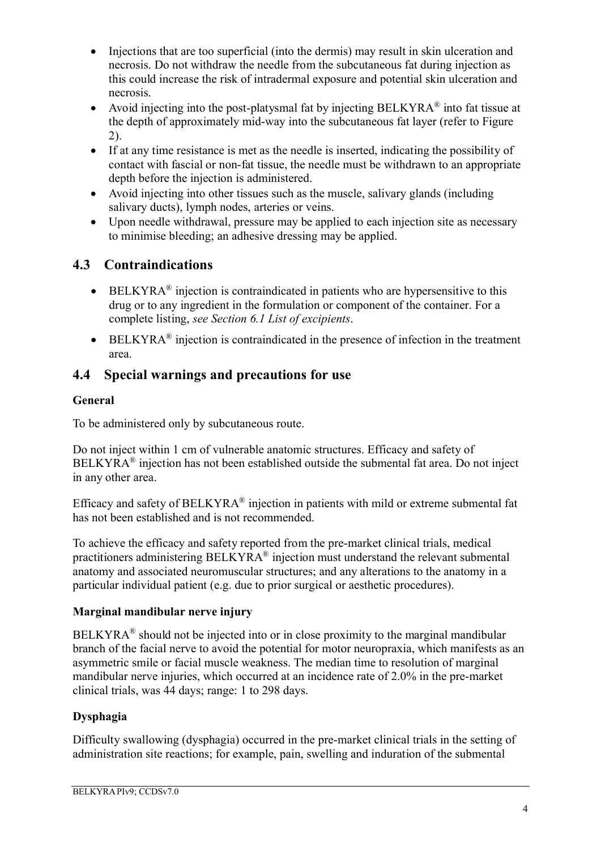- Injections that are too superficial (into the dermis) may result in skin ulceration and necrosis. Do not withdraw the needle from the subcutaneous fat during injection as this could increase the risk of intradermal exposure and potential skin ulceration and necrosis.
- Avoid injecting into the post-platysmal fat by injecting BELKYRA® into fat tissue at the depth of approximately mid-way into the subcutaneous fat layer (refer to Figure 2).
- If at any time resistance is met as the needle is inserted, indicating the possibility of contact with fascial or non-fat tissue, the needle must be withdrawn to an appropriate depth before the injection is administered.
- Avoid injecting into other tissues such as the muscle, salivary glands (including salivary ducts), lymph nodes, arteries or veins.
- Upon needle withdrawal, pressure may be applied to each injection site as necessary to minimise bleeding; an adhesive dressing may be applied.

# **4.3 Contraindications**

- $\bullet$  BELKYRA<sup>®</sup> injection is contraindicated in patients who are hypersensitive to this drug or to any ingredient in the formulation or component of the container. For a complete listing, *see Section 6.1 List of excipients*.
- $\bullet$  BELKYRA<sup>®</sup> injection is contraindicated in the presence of infection in the treatment area.

# **4.4 Special warnings and precautions for use**

## **General**

To be administered only by subcutaneous route.

Do not inject within 1 cm of vulnerable anatomic structures. Efficacy and safety of  $BELKYRA<sup>®</sup>$  injection has not been established outside the submental fat area. Do not inject in any other area.

Efficacy and safety of BELKYRA® injection in patients with mild or extreme submental fat has not been established and is not recommended.

To achieve the efficacy and safety reported from the pre-market clinical trials, medical practitioners administering BELKYRA® injection must understand the relevant submental anatomy and associated neuromuscular structures; and any alterations to the anatomy in a particular individual patient (e.g. due to prior surgical or aesthetic procedures).

### **Marginal mandibular nerve injury**

 $BELKYRA<sup>®</sup>$  should not be injected into or in close proximity to the marginal mandibular branch of the facial nerve to avoid the potential for motor neuropraxia, which manifests as an asymmetric smile or facial muscle weakness. The median time to resolution of marginal mandibular nerve injuries, which occurred at an incidence rate of 2.0% in the pre-market clinical trials, was 44 days; range: 1 to 298 days.

## **Dysphagia**

Difficulty swallowing (dysphagia) occurred in the pre-market clinical trials in the setting of administration site reactions; for example, pain, swelling and induration of the submental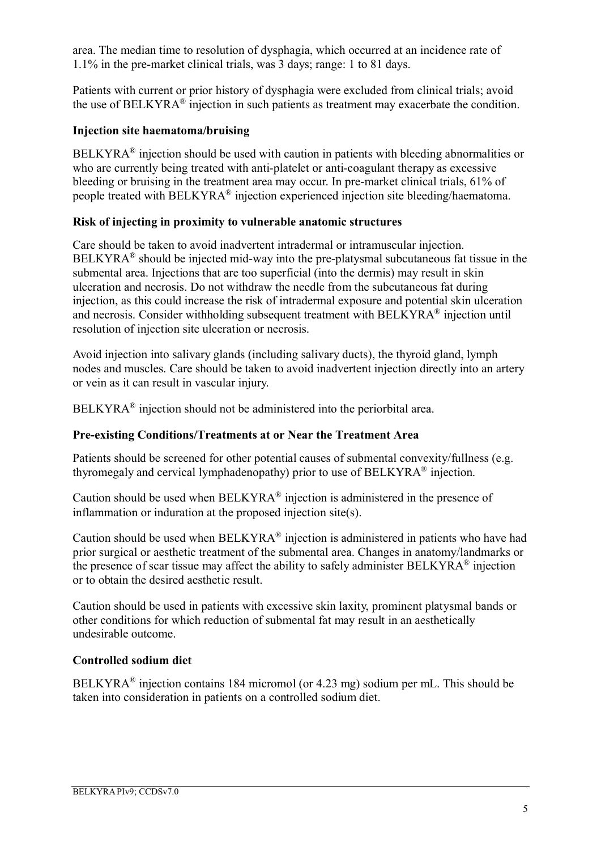area. The median time to resolution of dysphagia, which occurred at an incidence rate of 1.1% in the pre-market clinical trials, was 3 days; range: 1 to 81 days.

Patients with current or prior history of dysphagia were excluded from clinical trials; avoid the use of BELKYRA $^{\circ}$  injection in such patients as treatment may exacerbate the condition.

### **Injection site haematoma/bruising**

 $BELKYRA<sup>®</sup>$  injection should be used with caution in patients with bleeding abnormalities or who are currently being treated with anti-platelet or anti-coagulant therapy as excessive bleeding or bruising in the treatment area may occur. In pre-market clinical trials, 61% of people treated with BELKYRA® injection experienced injection site bleeding/haematoma.

### **Risk of injecting in proximity to vulnerable anatomic structures**

Care should be taken to avoid inadvertent intradermal or intramuscular injection.  $BELKYRA<sup>®</sup>$  should be injected mid-way into the pre-platysmal subcutaneous fat tissue in the submental area. Injections that are too superficial (into the dermis) may result in skin ulceration and necrosis. Do not withdraw the needle from the subcutaneous fat during injection, as this could increase the risk of intradermal exposure and potential skin ulceration and necrosis. Consider withholding subsequent treatment with BELKYRA® injection until resolution of injection site ulceration or necrosis.

Avoid injection into salivary glands (including salivary ducts), the thyroid gland, lymph nodes and muscles. Care should be taken to avoid inadvertent injection directly into an artery or vein as it can result in vascular injury.

 $BELKYRA<sup>®</sup>$  injection should not be administered into the periorbital area.

### **Pre-existing Conditions/Treatments at or Near the Treatment Area**

Patients should be screened for other potential causes of submental convexity/fullness (e.g. thyromegaly and cervical lymphadenopathy) prior to use of BELKYRA® injection.

Caution should be used when  $BELKYRA^{\circledR}$  injection is administered in the presence of inflammation or induration at the proposed injection site(s).

Caution should be used when  $BELKYRA^{\circledast}$  injection is administered in patients who have had prior surgical or aesthetic treatment of the submental area. Changes in anatomy/landmarks or the presence of scar tissue may affect the ability to safely administer BELKYRA® injection or to obtain the desired aesthetic result.

Caution should be used in patients with excessive skin laxity, prominent platysmal bands or other conditions for which reduction of submental fat may result in an aesthetically undesirable outcome.

### **Controlled sodium diet**

BELKYRA® injection contains 184 micromol (or 4.23 mg) sodium per mL. This should be taken into consideration in patients on a controlled sodium diet.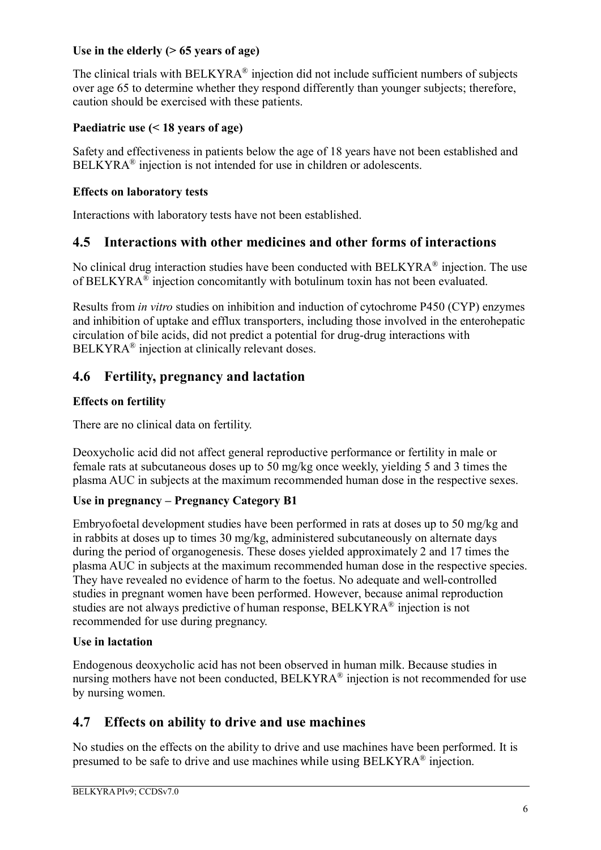### **Use in the elderly (> 65 years of age)**

The clinical trials with BELKYRA® injection did not include sufficient numbers of subjects over age 65 to determine whether they respond differently than younger subjects; therefore, caution should be exercised with these patients.

### **Paediatric use (< 18 years of age)**

Safety and effectiveness in patients below the age of 18 years have not been established and  $BELKYRA<sup>®</sup>$  injection is not intended for use in children or adolescents.

### **Effects on laboratory tests**

Interactions with laboratory tests have not been established.

## **4.5 Interactions with other medicines and other forms of interactions**

No clinical drug interaction studies have been conducted with  $BELKYRA^{\circledast}$  injection. The use of BELKYRA $^{\circledR}$  injection concomitantly with botulinum toxin has not been evaluated.

Results from *in vitro* studies on inhibition and induction of cytochrome P450 (CYP) enzymes and inhibition of uptake and efflux transporters, including those involved in the enterohepatic circulation of bile acids, did not predict a potential for drug-drug interactions with BELKYRA® injection at clinically relevant doses.

# **4.6 Fertility, pregnancy and lactation**

### **Effects on fertility**

There are no clinical data on fertility.

Deoxycholic acid did not affect general reproductive performance or fertility in male or female rats at subcutaneous doses up to 50 mg/kg once weekly, yielding 5 and 3 times the plasma AUC in subjects at the maximum recommended human dose in the respective sexes.

### **Use in pregnancy – Pregnancy Category B1**

Embryofoetal development studies have been performed in rats at doses up to 50 mg/kg and in rabbits at doses up to times 30 mg/kg, administered subcutaneously on alternate days during the period of organogenesis. These doses yielded approximately 2 and 17 times the plasma AUC in subjects at the maximum recommended human dose in the respective species. They have revealed no evidence of harm to the foetus. No adequate and well-controlled studies in pregnant women have been performed. However, because animal reproduction studies are not always predictive of human response, BELKYRA® injection is not recommended for use during pregnancy.

### **Use in lactation**

Endogenous deoxycholic acid has not been observed in human milk. Because studies in nursing mothers have not been conducted,  $BELKYRA^{\circledast}$  injection is not recommended for use by nursing women.

## **4.7 Effects on ability to drive and use machines**

No studies on the effects on the ability to drive and use machines have been performed. It is presumed to be safe to drive and use machines while using BELKYRA $^{\circledR}$  injection.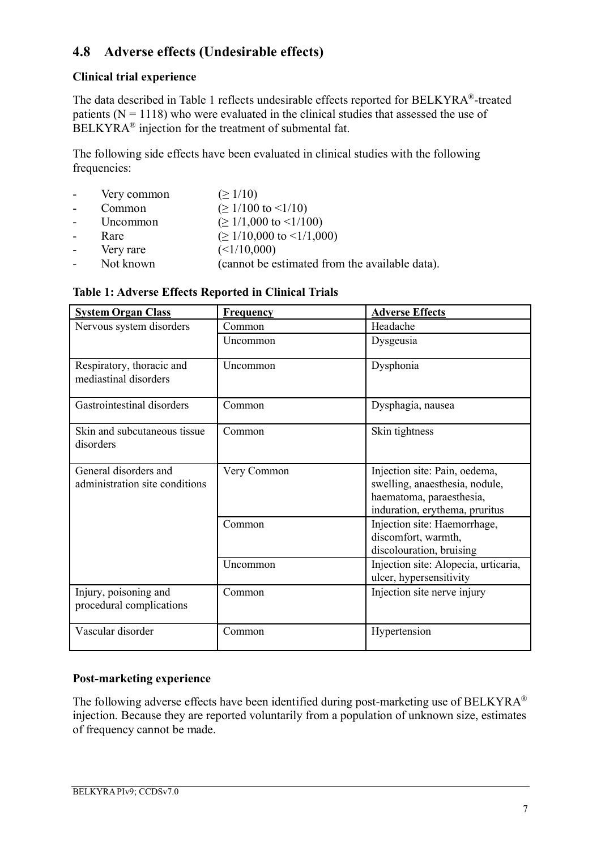# **4.8 Adverse effects (Undesirable effects)**

### **Clinical trial experience**

The data described in Table 1 reflects undesirable effects reported for BELKYRA®-treated patients  $(N = 1118)$  who were evaluated in the clinical studies that assessed the use of BELKYRA® injection for the treatment of submental fat.

The following side effects have been evaluated in clinical studies with the following frequencies:

- Very common  $(≥ 1/10)$
- Common  $( \geq 1/100 \text{ to } \leq 1/10)$
- Uncommon  $(≥ 1/1,000$  to  $≤1/100)$
- Rare  $(≥ 1/10,000$  to  $≤1/1,000)$
- Very rare  $(<1/10,000)$
- Not known (cannot be estimated from the available data).

|  |  | Table 1: Adverse Effects Reported in Clinical Trials |  |
|--|--|------------------------------------------------------|--|
|  |  |                                                      |  |

| <b>System Organ Class</b>                               | <b>Frequency</b> | <b>Adverse Effects</b>                                                                                                        |  |
|---------------------------------------------------------|------------------|-------------------------------------------------------------------------------------------------------------------------------|--|
| Nervous system disorders                                | Common           | Headache                                                                                                                      |  |
|                                                         | Uncommon         | Dysgeusia                                                                                                                     |  |
| Respiratory, thoracic and<br>mediastinal disorders      | Uncommon         | Dysphonia                                                                                                                     |  |
| Gastrointestinal disorders                              | Common           | Dysphagia, nausea                                                                                                             |  |
| Skin and subcutaneous tissue<br>disorders               | Common           | Skin tightness                                                                                                                |  |
| General disorders and<br>administration site conditions | Very Common      | Injection site: Pain, oedema,<br>swelling, anaesthesia, nodule,<br>haematoma, paraesthesia,<br>induration, erythema, pruritus |  |
|                                                         | Common           | Injection site: Haemorrhage,<br>discomfort, warmth,<br>discolouration, bruising                                               |  |
|                                                         | Uncommon         | Injection site: Alopecia, urticaria,<br>ulcer, hypersensitivity                                                               |  |
| Injury, poisoning and<br>procedural complications       | Common           | Injection site nerve injury                                                                                                   |  |
| Vascular disorder                                       | Common           | Hypertension                                                                                                                  |  |

### **Post-marketing experience**

The following adverse effects have been identified during post-marketing use of BELKYRA® injection. Because they are reported voluntarily from a population of unknown size, estimates of frequency cannot be made.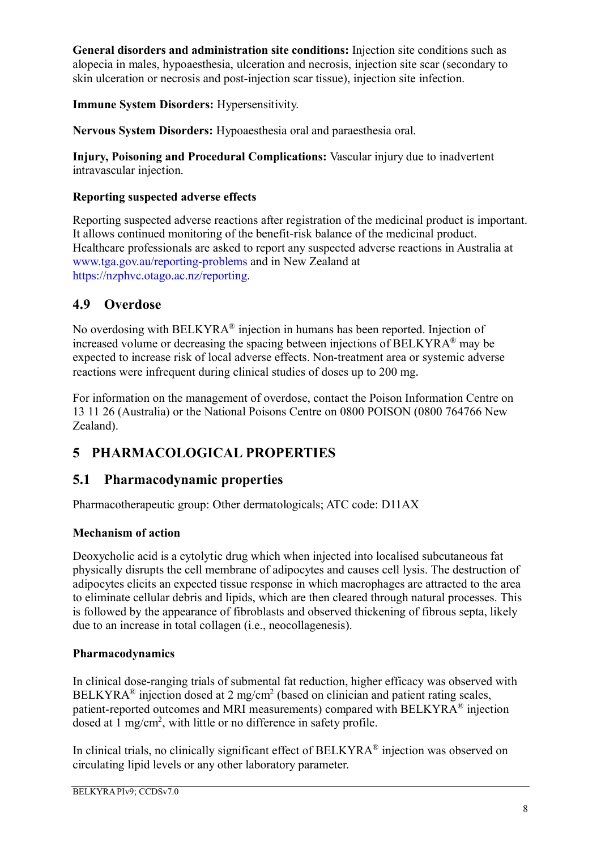**General disorders and administration site conditions:** Injection site conditions such as alopecia in males, hypoaesthesia, ulceration and necrosis, injection site scar (secondary to skin ulceration or necrosis and post-injection scar tissue), injection site infection.

**Immune System Disorders:** Hypersensitivity.

**Nervous System Disorders:** Hypoaesthesia oral and paraesthesia oral.

**Injury, Poisoning and Procedural Complications:** Vascular injury due to inadvertent intravascular injection.

## **Reporting suspected adverse effects**

Reporting suspected adverse reactions after registration of the medicinal product is important. It allows continued monitoring of the benefit-risk balance of the medicinal product. Healthcare professionals are asked to report any suspected adverse reactions in Australia at www.tga.gov.au/reporting-problems and in New Zealand at https://nzphvc.otago.ac.nz/reporting.

# **4.9 Overdose**

No overdosing with  $BELKYRA^{\circledast}$  injection in humans has been reported. Injection of increased volume or decreasing the spacing between injections of BELKYRA® may be expected to increase risk of local adverse effects. Non-treatment area or systemic adverse reactions were infrequent during clinical studies of doses up to 200 mg.

For information on the management of overdose, contact the Poison Information Centre on 13 11 26 (Australia) or the National Poisons Centre on 0800 POISON (0800 764766 New Zealand).

# **5 PHARMACOLOGICAL PROPERTIES**

# **5.1 Pharmacodynamic properties**

Pharmacotherapeutic group: Other dermatologicals; ATC code: D11AX

## **Mechanism of action**

Deoxycholic acid is a cytolytic drug which when injected into localised subcutaneous fat physically disrupts the cell membrane of adipocytes and causes cell lysis. The destruction of adipocytes elicits an expected tissue response in which macrophages are attracted to the area to eliminate cellular debris and lipids, which are then cleared through natural processes. This is followed by the appearance of fibroblasts and observed thickening of fibrous septa, likely due to an increase in total collagen (i.e., neocollagenesis).

## **Pharmacodynamics**

In clinical dose-ranging trials of submental fat reduction, higher efficacy was observed with BELKYRA<sup>®</sup> injection dosed at 2 mg/cm<sup>2</sup> (based on clinician and patient rating scales, patient-reported outcomes and MRI measurements) compared with BELKYRA® injection dosed at 1 mg/cm<sup>2</sup>, with little or no difference in safety profile.

In clinical trials, no clinically significant effect of BELKYRA® injection was observed on circulating lipid levels or any other laboratory parameter.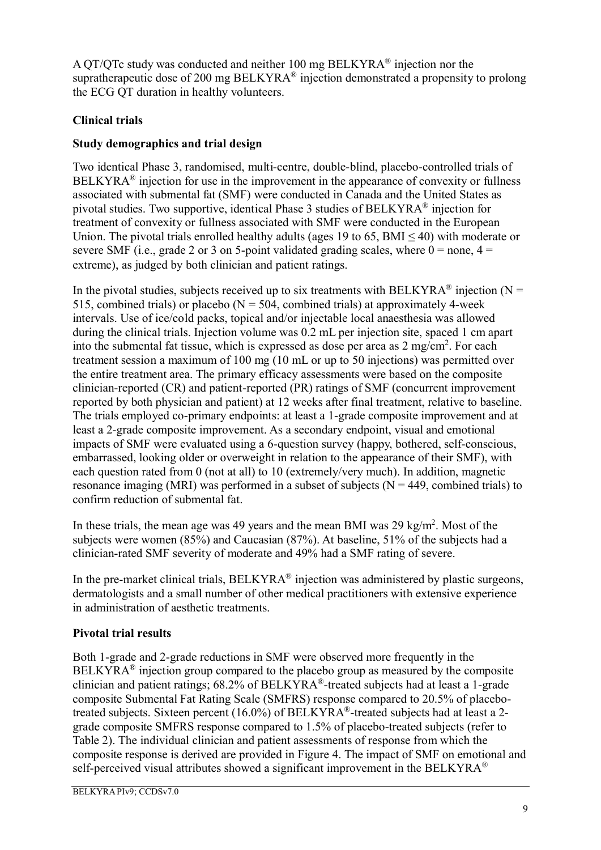A QT/QTc study was conducted and neither 100 mg BELKYRA® injection nor the supratherapeutic dose of 200 mg  $BELKYRA^{\circledast}$  injection demonstrated a propensity to prolong the ECG QT duration in healthy volunteers.

## **Clinical trials**

### **Study demographics and trial design**

Two identical Phase 3, randomised, multi-centre, double-blind, placebo-controlled trials of  $BELKYRA<sup>®</sup>$  injection for use in the improvement in the appearance of convexity or fullness associated with submental fat (SMF) were conducted in Canada and the United States as pivotal studies. Two supportive, identical Phase 3 studies of BELKYRA® injection for treatment of convexity or fullness associated with SMF were conducted in the European Union. The pivotal trials enrolled healthy adults (ages 19 to 65,  $BMI \leq 40$ ) with moderate or severe SMF (i.e., grade 2 or 3 on 5-point validated grading scales, where  $0 =$  none,  $4 =$ extreme), as judged by both clinician and patient ratings.

In the pivotal studies, subjects received up to six treatments with BELKYRA<sup>®</sup> injection (N = 515, combined trials) or placebo ( $N = 504$ , combined trials) at approximately 4-week intervals. Use of ice/cold packs, topical and/or injectable local anaesthesia was allowed during the clinical trials. Injection volume was 0.2 mL per injection site, spaced 1 cm apart into the submental fat tissue, which is expressed as dose per area as  $2 \text{ mg/cm}^2$ . For each treatment session a maximum of 100 mg (10 mL or up to 50 injections) was permitted over the entire treatment area. The primary efficacy assessments were based on the composite clinician-reported (CR) and patient-reported (PR) ratings of SMF (concurrent improvement reported by both physician and patient) at 12 weeks after final treatment, relative to baseline. The trials employed co-primary endpoints: at least a 1-grade composite improvement and at least a 2-grade composite improvement. As a secondary endpoint, visual and emotional impacts of SMF were evaluated using a 6-question survey (happy, bothered, self-conscious, embarrassed, looking older or overweight in relation to the appearance of their SMF), with each question rated from 0 (not at all) to 10 (extremely/very much). In addition, magnetic resonance imaging (MRI) was performed in a subset of subjects ( $N = 449$ , combined trials) to confirm reduction of submental fat.

In these trials, the mean age was 49 years and the mean BMI was  $29 \text{ kg/m}^2$ . Most of the subjects were women (85%) and Caucasian (87%). At baseline, 51% of the subjects had a clinician-rated SMF severity of moderate and 49% had a SMF rating of severe.

In the pre-market clinical trials, BELKYRA® injection was administered by plastic surgeons, dermatologists and a small number of other medical practitioners with extensive experience in administration of aesthetic treatments.

### **Pivotal trial results**

Both 1-grade and 2-grade reductions in SMF were observed more frequently in the  $BELKYRA<sup>®</sup>$  injection group compared to the placebo group as measured by the composite clinician and patient ratings;  $68.2\%$  of BELKYRA<sup>®</sup>-treated subjects had at least a 1-grade composite Submental Fat Rating Scale (SMFRS) response compared to 20.5% of placebotreated subjects. Sixteen percent (16.0%) of BELKYRA®-treated subjects had at least a 2grade composite SMFRS response compared to 1.5% of placebo-treated subjects (refer to Table 2). The individual clinician and patient assessments of response from which the composite response is derived are provided in Figure 4. The impact of SMF on emotional and self-perceived visual attributes showed a significant improvement in the BELKYRA<sup>®</sup>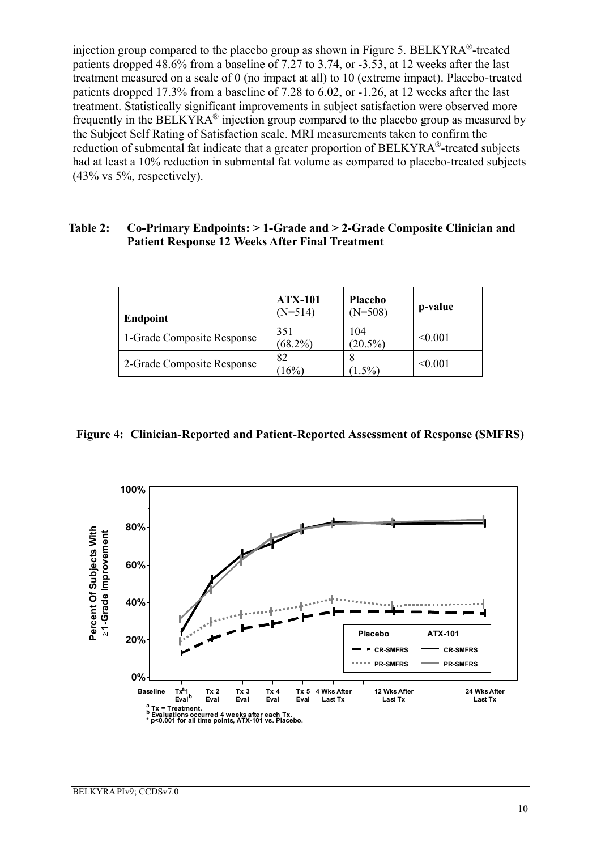injection group compared to the placebo group as shown in Figure 5. BELKYRA®-treated patients dropped 48.6% from a baseline of 7.27 to 3.74, or -3.53, at 12 weeks after the last treatment measured on a scale of 0 (no impact at all) to 10 (extreme impact). Placebo-treated patients dropped 17.3% from a baseline of 7.28 to 6.02, or -1.26, at 12 weeks after the last treatment. Statistically significant improvements in subject satisfaction were observed more frequently in the BELKYRA $\Phi$  injection group compared to the placebo group as measured by the Subject Self Rating of Satisfaction scale. MRI measurements taken to confirm the reduction of submental fat indicate that a greater proportion of BELKYRA®-treated subjects had at least a 10% reduction in submental fat volume as compared to placebo-treated subjects (43% vs 5%, respectively).

#### **Table 2: Co-Primary Endpoints: > 1-Grade and > 2-Grade Composite Clinician and Patient Response 12 Weeks After Final Treatment**

| <b>Endpoint</b>            | <b>ATX-101</b><br>$(N=514)$ | <b>Placebo</b><br>$(N=508)$ | p-value |
|----------------------------|-----------------------------|-----------------------------|---------|
| 1-Grade Composite Response | 351<br>$(68.2\%)$           | 104<br>$(20.5\%)$           | < 0.001 |
| 2-Grade Composite Response | 82<br>(16%)                 | $(1.5\%)$                   | < 0.001 |

**Figure 4: Clinician-Reported and Patient-Reported Assessment of Response (SMFRS)**

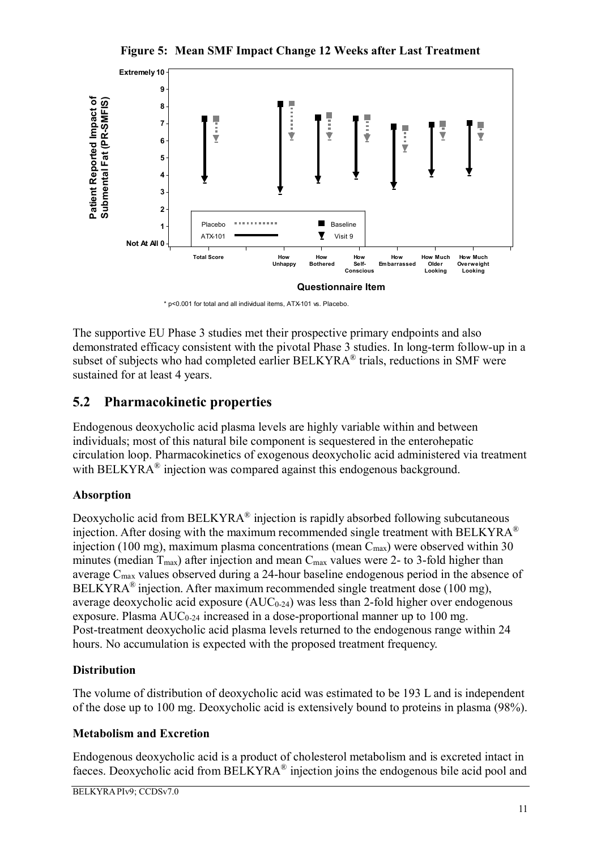**Figure 5: Mean SMF Impact Change 12 Weeks after Last Treatment**



\* p<0.001 for total and all individual items, ATX-101 vs. Placebo.

The supportive EU Phase 3 studies met their prospective primary endpoints and also demonstrated efficacy consistent with the pivotal Phase 3 studies. In long-term follow-up in a subset of subjects who had completed earlier BELKYRA® trials, reductions in SMF were sustained for at least 4 years.

# **5.2 Pharmacokinetic properties**

Endogenous deoxycholic acid plasma levels are highly variable within and between individuals; most of this natural bile component is sequestered in the enterohepatic circulation loop. Pharmacokinetics of exogenous deoxycholic acid administered via treatment with BELKYRA® injection was compared against this endogenous background.

### **Absorption**

Deoxycholic acid from  $BELKYRA^{\circ}$  injection is rapidly absorbed following subcutaneous injection. After dosing with the maximum recommended single treatment with BELKYRA<sup>®</sup> injection (100 mg), maximum plasma concentrations (mean  $C_{\text{max}}$ ) were observed within 30 minutes (median  $T_{\text{max}}$ ) after injection and mean  $C_{\text{max}}$  values were 2- to 3-fold higher than average Cmax values observed during a 24-hour baseline endogenous period in the absence of BELKYRA<sup>®</sup> injection. After maximum recommended single treatment dose (100 mg), average deoxycholic acid exposure  $(AUC_{0-24})$  was less than 2-fold higher over endogenous exposure. Plasma  $AUC_{0.24}$  increased in a dose-proportional manner up to 100 mg. Post-treatment deoxycholic acid plasma levels returned to the endogenous range within 24 hours. No accumulation is expected with the proposed treatment frequency.

### **Distribution**

The volume of distribution of deoxycholic acid was estimated to be 193 L and is independent of the dose up to 100 mg. Deoxycholic acid is extensively bound to proteins in plasma (98%).

### **Metabolism and Excretion**

Endogenous deoxycholic acid is a product of cholesterol metabolism and is excreted intact in faeces. Deoxycholic acid from BELKYRA® injection joins the endogenous bile acid pool and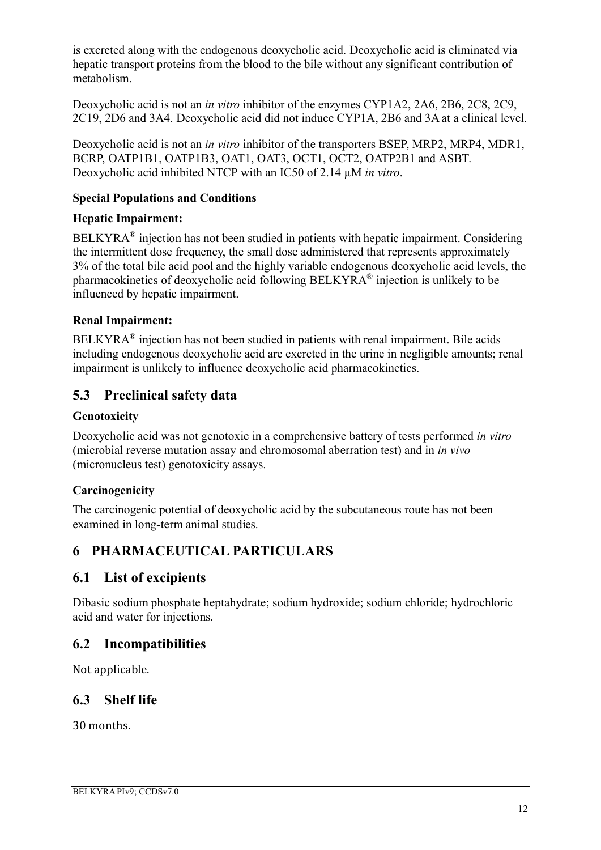is excreted along with the endogenous deoxycholic acid. Deoxycholic acid is eliminated via hepatic transport proteins from the blood to the bile without any significant contribution of metabolism.

Deoxycholic acid is not an *in vitro* inhibitor of the enzymes CYP1A2, 2A6, 2B6, 2C8, 2C9, 2C19, 2D6 and 3A4. Deoxycholic acid did not induce CYP1A, 2B6 and 3A at a clinical level.

Deoxycholic acid is not an *in vitro* inhibitor of the transporters BSEP, MRP2, MRP4, MDR1, BCRP, OATP1B1, OATP1B3, OAT1, OAT3, OCT1, OCT2, OATP2B1 and ASBT. Deoxycholic acid inhibited NTCP with an IC50 of 2.14 µM *in vitro*.

### **Special Populations and Conditions**

### **Hepatic Impairment:**

 $BELKYRA<sup>®</sup>$  injection has not been studied in patients with hepatic impairment. Considering the intermittent dose frequency, the small dose administered that represents approximately 3% of the total bile acid pool and the highly variable endogenous deoxycholic acid levels, the pharmacokinetics of deoxycholic acid following BELKYRA® injection is unlikely to be influenced by hepatic impairment.

### **Renal Impairment:**

BELKYRA<sup>®</sup> injection has not been studied in patients with renal impairment. Bile acids including endogenous deoxycholic acid are excreted in the urine in negligible amounts; renal impairment is unlikely to influence deoxycholic acid pharmacokinetics.

## **5.3 Preclinical safety data**

### **Genotoxicity**

Deoxycholic acid was not genotoxic in a comprehensive battery of tests performed *in vitro* (microbial reverse mutation assay and chromosomal aberration test) and in *in vivo* (micronucleus test) genotoxicity assays.

### **Carcinogenicity**

The carcinogenic potential of deoxycholic acid by the subcutaneous route has not been examined in long-term animal studies.

# **6 PHARMACEUTICAL PARTICULARS**

## **6.1 List of excipients**

Dibasic sodium phosphate heptahydrate; sodium hydroxide; sodium chloride; hydrochloric acid and water for injections.

### **6.2 Incompatibilities**

Not applicable.

## **6.3 Shelf life**

30 months.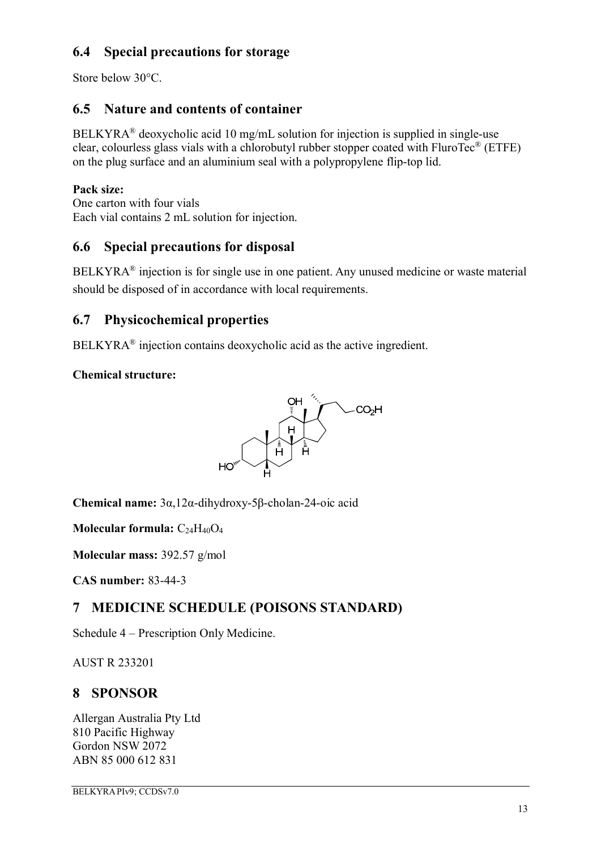# **6.4 Special precautions for storage**

Store below 30°C.

# **6.5 Nature and contents of container**

BELKYRA® deoxycholic acid 10 mg/mL solution for injection is supplied in single-use clear, colourless glass vials with a chlorobutyl rubber stopper coated with FluroTec® (ETFE) on the plug surface and an aluminium seal with a polypropylene flip-top lid.

### **Pack size:**

One carton with four vials Each vial contains 2 mL solution for injection.

# **6.6 Special precautions for disposal**

 $BELKYRA<sup>®</sup>$  injection is for single use in one patient. Any unused medicine or waste material should be disposed of in accordance with local requirements.

# **6.7 Physicochemical properties**

 $BELKYRA<sup>®</sup>$  injection contains deoxycholic acid as the active ingredient.

## **Chemical structure:**



**Chemical name:** 3α,12α-dihydroxy-5β-cholan-24-oic acid

**Molecular formula:** C<sub>24</sub>H<sub>40</sub>O<sub>4</sub>

**Molecular mass:** 392.57 g/mol

**CAS number:** 83-44-3

# **7 MEDICINE SCHEDULE (POISONS STANDARD)**

Schedule 4 – Prescription Only Medicine.

AUST R 233201

# **8 SPONSOR**

Allergan Australia Pty Ltd 810 Pacific Highway Gordon NSW 2072 ABN 85 000 612 831